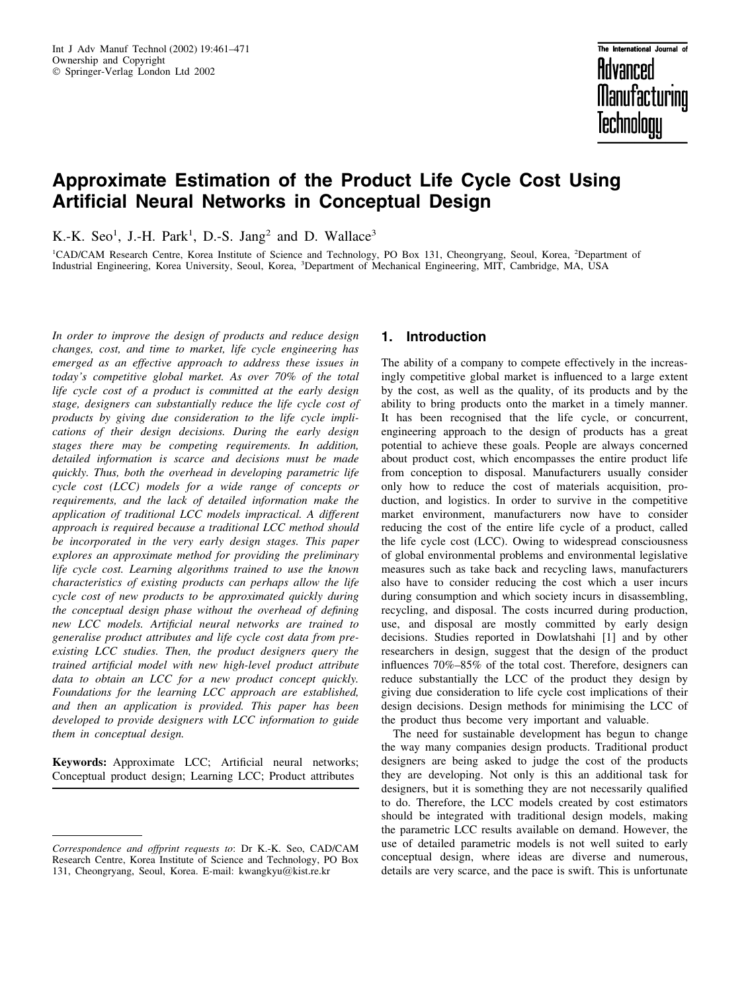# **Approximate Estimation of the Product Life Cycle Cost Using Artificial Neural Networks in Conceptual Design**

K.-K. Seo<sup>1</sup>, J.-H. Park<sup>1</sup>, D.-S. Jang<sup>2</sup> and D. Wallace<sup>3</sup>

<sup>1</sup>CAD/CAM Research Centre, Korea Institute of Science and Technology, PO Box 131, Cheongryang, Seoul, Korea, <sup>2</sup>Department of Industrial Engineering, Korea University, Seoul, Korea, <sup>3</sup> Department of Mechanical Engineering, MIT, Cambridge, MA, USA

*In order to improve the design of products and reduce design changes, cost, and time to market, life cycle engineering has emerged as an effective approach to address these issues in today's competitive global market. As over 70% of the total life cycle cost of a product is committed at the early design stage, designers can substantially reduce the life cycle cost of products by giving due consideration to the life cycle implications of their design decisions. During the early design stages there may be competing requirements. In addition, detailed information is scarce and decisions must be made quickly. Thus, both the overhead in developing parametric life cycle cost (LCC) models for a wide range of concepts or requirements, and the lack of detailed information make the application of traditional LCC models impractical. A different approach is required because a traditional LCC method should be incorporated in the very early design stages. This paper explores an approximate method for providing the preliminary life cycle cost. Learning algorithms trained to use the known characteristics of existing products can perhaps allow the life cycle cost of new products to be approximated quickly during the conceptual design phase without the overhead of defining new LCC models. Artificial neural networks are trained to generalise product attributes and life cycle cost data from preexisting LCC studies. Then, the product designers query the trained artificial model with new high-level product attribute data to obtain an LCC for a new product concept quickly. Foundations for the learning LCC approach are established, and then an application is provided. This paper has been developed to provide designers with LCC information to guide them in conceptual design.*

**Keywords:** Approximate LCC; Artificial neural networks; Conceptual product design; Learning LCC; Product attributes

### **1. Introduction**

The ability of a company to compete effectively in the increasingly competitive global market is influenced to a large extent by the cost, as well as the quality, of its products and by the ability to bring products onto the market in a timely manner. It has been recognised that the life cycle, or concurrent, engineering approach to the design of products has a great potential to achieve these goals. People are always concerned about product cost, which encompasses the entire product life from conception to disposal. Manufacturers usually consider only how to reduce the cost of materials acquisition, production, and logistics. In order to survive in the competitive market environment, manufacturers now have to consider reducing the cost of the entire life cycle of a product, called the life cycle cost (LCC). Owing to widespread consciousness of global environmental problems and environmental legislative measures such as take back and recycling laws, manufacturers also have to consider reducing the cost which a user incurs during consumption and which society incurs in disassembling, recycling, and disposal. The costs incurred during production, use, and disposal are mostly committed by early design decisions. Studies reported in Dowlatshahi [1] and by other researchers in design, suggest that the design of the product influences 70%–85% of the total cost. Therefore, designers can reduce substantially the LCC of the product they design by giving due consideration to life cycle cost implications of their design decisions. Design methods for minimising the LCC of the product thus become very important and valuable.

The need for sustainable development has begun to change the way many companies design products. Traditional product designers are being asked to judge the cost of the products they are developing. Not only is this an additional task for designers, but it is something they are not necessarily qualified to do. Therefore, the LCC models created by cost estimators should be integrated with traditional design models, making the parametric LCC results available on demand. However, the use of detailed parametric models is not well suited to early conceptual design, where ideas are diverse and numerous, details are very scarce, and the pace is swift. This is unfortunate

*Correspondence and offprint requests to*: Dr K.-K. Seo, CAD/CAM Research Centre, Korea Institute of Science and Technology, PO Box 131, Cheongryang, Seoul, Korea. E-mail: kwangkyu@kist.re.kr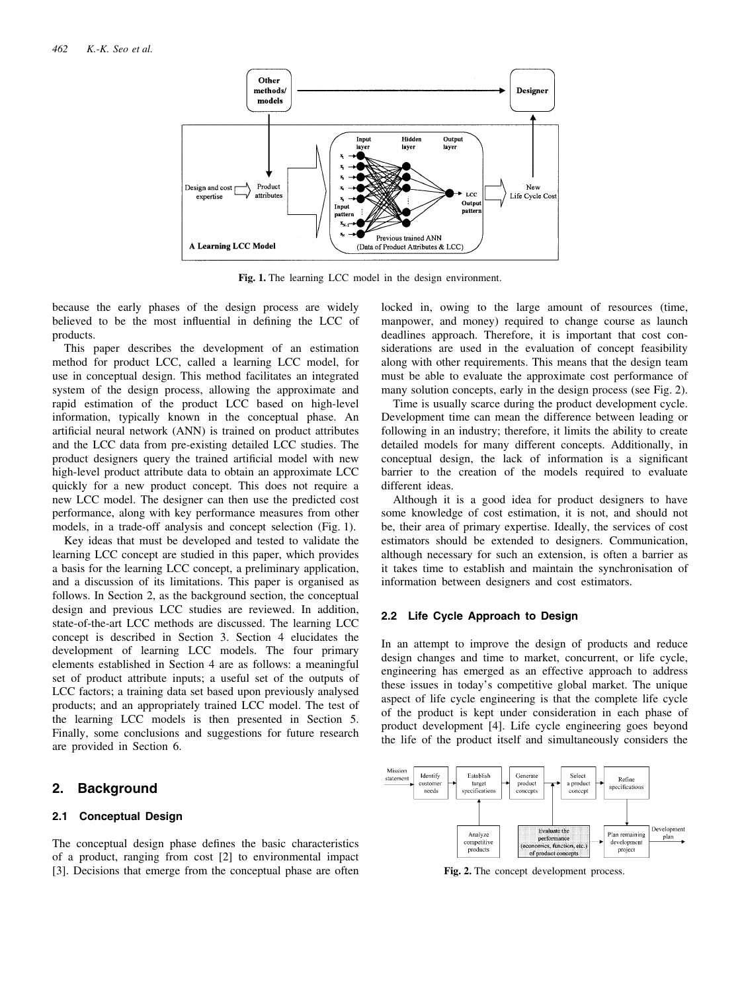

**Fig. 1.** The learning LCC model in the design environment.

because the early phases of the design process are widely believed to be the most influential in defining the LCC of products.

This paper describes the development of an estimation method for product LCC, called a learning LCC model, for use in conceptual design. This method facilitates an integrated system of the design process, allowing the approximate and rapid estimation of the product LCC based on high-level information, typically known in the conceptual phase. An artificial neural network (ANN) is trained on product attributes and the LCC data from pre-existing detailed LCC studies. The product designers query the trained artificial model with new high-level product attribute data to obtain an approximate LCC quickly for a new product concept. This does not require a new LCC model. The designer can then use the predicted cost performance, along with key performance measures from other models, in a trade-off analysis and concept selection (Fig. 1).

Key ideas that must be developed and tested to validate the learning LCC concept are studied in this paper, which provides a basis for the learning LCC concept, a preliminary application, and a discussion of its limitations. This paper is organised as follows. In Section 2, as the background section, the conceptual design and previous LCC studies are reviewed. In addition, state-of-the-art LCC methods are discussed. The learning LCC concept is described in Section 3. Section 4 elucidates the development of learning LCC models. The four primary elements established in Section 4 are as follows: a meaningful set of product attribute inputs; a useful set of the outputs of LCC factors; a training data set based upon previously analysed products; and an appropriately trained LCC model. The test of the learning LCC models is then presented in Section 5. Finally, some conclusions and suggestions for future research are provided in Section 6.

### **2. Background**

### **2.1 Conceptual Design**

The conceptual design phase defines the basic characteristics of a product, ranging from cost [2] to environmental impact [3]. Decisions that emerge from the conceptual phase are often locked in, owing to the large amount of resources (time, manpower, and money) required to change course as launch deadlines approach. Therefore, it is important that cost considerations are used in the evaluation of concept feasibility along with other requirements. This means that the design team must be able to evaluate the approximate cost performance of many solution concepts, early in the design process (see Fig. 2).

Time is usually scarce during the product development cycle. Development time can mean the difference between leading or following in an industry; therefore, it limits the ability to create detailed models for many different concepts. Additionally, in conceptual design, the lack of information is a significant barrier to the creation of the models required to evaluate different ideas.

Although it is a good idea for product designers to have some knowledge of cost estimation, it is not, and should not be, their area of primary expertise. Ideally, the services of cost estimators should be extended to designers. Communication, although necessary for such an extension, is often a barrier as it takes time to establish and maintain the synchronisation of information between designers and cost estimators.

### **2.2 Life Cycle Approach to Design**

In an attempt to improve the design of products and reduce design changes and time to market, concurrent, or life cycle, engineering has emerged as an effective approach to address these issues in today's competitive global market. The unique aspect of life cycle engineering is that the complete life cycle of the product is kept under consideration in each phase of product development [4]. Life cycle engineering goes beyond the life of the product itself and simultaneously considers the



**Fig. 2.** The concept development process.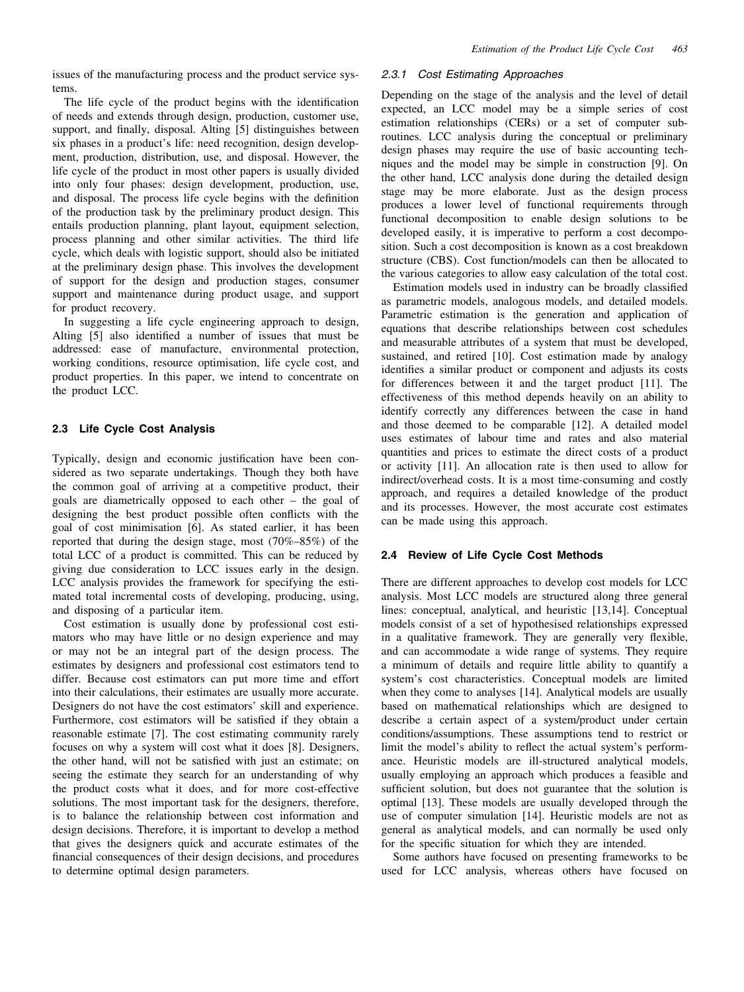issues of the manufacturing process and the product service systems.

The life cycle of the product begins with the identification of needs and extends through design, production, customer use, support, and finally, disposal. Alting [5] distinguishes between six phases in a product's life: need recognition, design development, production, distribution, use, and disposal. However, the life cycle of the product in most other papers is usually divided into only four phases: design development, production, use, and disposal. The process life cycle begins with the definition of the production task by the preliminary product design. This entails production planning, plant layout, equipment selection, process planning and other similar activities. The third life cycle, which deals with logistic support, should also be initiated at the preliminary design phase. This involves the development of support for the design and production stages, consumer support and maintenance during product usage, and support for product recovery.

In suggesting a life cycle engineering approach to design, Alting [5] also identified a number of issues that must be addressed: ease of manufacture, environmental protection, working conditions, resource optimisation, life cycle cost, and product properties. In this paper, we intend to concentrate on the product LCC.

### **2.3 Life Cycle Cost Analysis**

Typically, design and economic justification have been considered as two separate undertakings. Though they both have the common goal of arriving at a competitive product, their goals are diametrically opposed to each other – the goal of designing the best product possible often conflicts with the goal of cost minimisation [6]. As stated earlier, it has been reported that during the design stage, most (70%–85%) of the total LCC of a product is committed. This can be reduced by giving due consideration to LCC issues early in the design. LCC analysis provides the framework for specifying the estimated total incremental costs of developing, producing, using, and disposing of a particular item.

Cost estimation is usually done by professional cost estimators who may have little or no design experience and may or may not be an integral part of the design process. The estimates by designers and professional cost estimators tend to differ. Because cost estimators can put more time and effort into their calculations, their estimates are usually more accurate. Designers do not have the cost estimators' skill and experience. Furthermore, cost estimators will be satisfied if they obtain a reasonable estimate [7]. The cost estimating community rarely focuses on why a system will cost what it does [8]. Designers, the other hand, will not be satisfied with just an estimate; on seeing the estimate they search for an understanding of why the product costs what it does, and for more cost-effective solutions. The most important task for the designers, therefore, is to balance the relationship between cost information and design decisions. Therefore, it is important to develop a method that gives the designers quick and accurate estimates of the financial consequences of their design decisions, and procedures to determine optimal design parameters.

### *2.3.1 Cost Estimating Approaches*

Depending on the stage of the analysis and the level of detail expected, an LCC model may be a simple series of cost estimation relationships (CERs) or a set of computer subroutines. LCC analysis during the conceptual or preliminary design phases may require the use of basic accounting techniques and the model may be simple in construction [9]. On the other hand, LCC analysis done during the detailed design stage may be more elaborate. Just as the design process produces a lower level of functional requirements through functional decomposition to enable design solutions to be developed easily, it is imperative to perform a cost decomposition. Such a cost decomposition is known as a cost breakdown structure (CBS). Cost function/models can then be allocated to the various categories to allow easy calculation of the total cost.

Estimation models used in industry can be broadly classified as parametric models, analogous models, and detailed models. Parametric estimation is the generation and application of equations that describe relationships between cost schedules and measurable attributes of a system that must be developed, sustained, and retired [10]. Cost estimation made by analogy identifies a similar product or component and adjusts its costs for differences between it and the target product [11]. The effectiveness of this method depends heavily on an ability to identify correctly any differences between the case in hand and those deemed to be comparable [12]. A detailed model uses estimates of labour time and rates and also material quantities and prices to estimate the direct costs of a product or activity [11]. An allocation rate is then used to allow for indirect/overhead costs. It is a most time-consuming and costly approach, and requires a detailed knowledge of the product and its processes. However, the most accurate cost estimates can be made using this approach.

### **2.4 Review of Life Cycle Cost Methods**

There are different approaches to develop cost models for LCC analysis. Most LCC models are structured along three general lines: conceptual, analytical, and heuristic [13,14]. Conceptual models consist of a set of hypothesised relationships expressed in a qualitative framework. They are generally very flexible, and can accommodate a wide range of systems. They require a minimum of details and require little ability to quantify a system's cost characteristics. Conceptual models are limited when they come to analyses [14]. Analytical models are usually based on mathematical relationships which are designed to describe a certain aspect of a system/product under certain conditions/assumptions. These assumptions tend to restrict or limit the model's ability to reflect the actual system's performance. Heuristic models are ill-structured analytical models, usually employing an approach which produces a feasible and sufficient solution, but does not guarantee that the solution is optimal [13]. These models are usually developed through the use of computer simulation [14]. Heuristic models are not as general as analytical models, and can normally be used only for the specific situation for which they are intended.

Some authors have focused on presenting frameworks to be used for LCC analysis, whereas others have focused on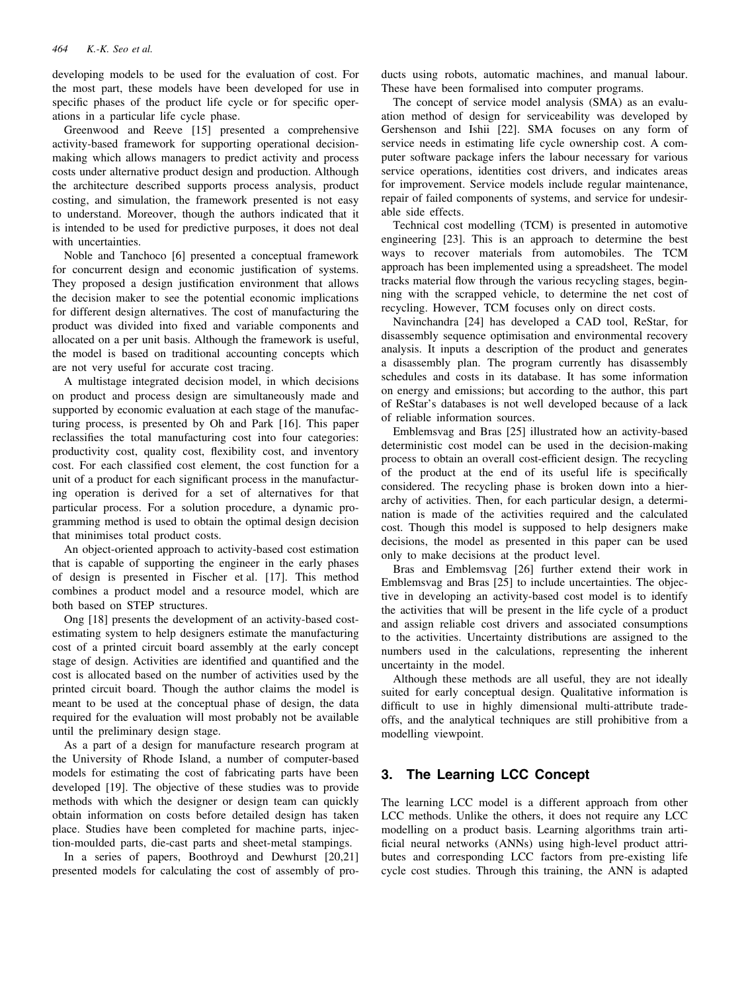developing models to be used for the evaluation of cost. For the most part, these models have been developed for use in specific phases of the product life cycle or for specific operations in a particular life cycle phase.

Greenwood and Reeve [15] presented a comprehensive activity-based framework for supporting operational decisionmaking which allows managers to predict activity and process costs under alternative product design and production. Although the architecture described supports process analysis, product costing, and simulation, the framework presented is not easy to understand. Moreover, though the authors indicated that it is intended to be used for predictive purposes, it does not deal with uncertainties.

Noble and Tanchoco [6] presented a conceptual framework for concurrent design and economic justification of systems. They proposed a design justification environment that allows the decision maker to see the potential economic implications for different design alternatives. The cost of manufacturing the product was divided into fixed and variable components and allocated on a per unit basis. Although the framework is useful, the model is based on traditional accounting concepts which are not very useful for accurate cost tracing.

A multistage integrated decision model, in which decisions on product and process design are simultaneously made and supported by economic evaluation at each stage of the manufacturing process, is presented by Oh and Park [16]. This paper reclassifies the total manufacturing cost into four categories: productivity cost, quality cost, flexibility cost, and inventory cost. For each classified cost element, the cost function for a unit of a product for each significant process in the manufacturing operation is derived for a set of alternatives for that particular process. For a solution procedure, a dynamic programming method is used to obtain the optimal design decision that minimises total product costs.

An object-oriented approach to activity-based cost estimation that is capable of supporting the engineer in the early phases of design is presented in Fischer et al. [17]. This method combines a product model and a resource model, which are both based on STEP structures.

Ong [18] presents the development of an activity-based costestimating system to help designers estimate the manufacturing cost of a printed circuit board assembly at the early concept stage of design. Activities are identified and quantified and the cost is allocated based on the number of activities used by the printed circuit board. Though the author claims the model is meant to be used at the conceptual phase of design, the data required for the evaluation will most probably not be available until the preliminary design stage.

As a part of a design for manufacture research program at the University of Rhode Island, a number of computer-based models for estimating the cost of fabricating parts have been developed [19]. The objective of these studies was to provide methods with which the designer or design team can quickly obtain information on costs before detailed design has taken place. Studies have been completed for machine parts, injection-moulded parts, die-cast parts and sheet-metal stampings.

In a series of papers, Boothroyd and Dewhurst [20,21] presented models for calculating the cost of assembly of pro-

ducts using robots, automatic machines, and manual labour. These have been formalised into computer programs.

The concept of service model analysis (SMA) as an evaluation method of design for serviceability was developed by Gershenson and Ishii [22]. SMA focuses on any form of service needs in estimating life cycle ownership cost. A computer software package infers the labour necessary for various service operations, identities cost drivers, and indicates areas for improvement. Service models include regular maintenance, repair of failed components of systems, and service for undesirable side effects.

Technical cost modelling (TCM) is presented in automotive engineering [23]. This is an approach to determine the best ways to recover materials from automobiles. The TCM approach has been implemented using a spreadsheet. The model tracks material flow through the various recycling stages, beginning with the scrapped vehicle, to determine the net cost of recycling. However, TCM focuses only on direct costs.

Navinchandra [24] has developed a CAD tool, ReStar, for disassembly sequence optimisation and environmental recovery analysis. It inputs a description of the product and generates a disassembly plan. The program currently has disassembly schedules and costs in its database. It has some information on energy and emissions; but according to the author, this part of ReStar's databases is not well developed because of a lack of reliable information sources.

Emblemsvag and Bras [25] illustrated how an activity-based deterministic cost model can be used in the decision-making process to obtain an overall cost-efficient design. The recycling of the product at the end of its useful life is specifically considered. The recycling phase is broken down into a hierarchy of activities. Then, for each particular design, a determination is made of the activities required and the calculated cost. Though this model is supposed to help designers make decisions, the model as presented in this paper can be used only to make decisions at the product level.

Bras and Emblemsvag [26] further extend their work in Emblemsvag and Bras [25] to include uncertainties. The objective in developing an activity-based cost model is to identify the activities that will be present in the life cycle of a product and assign reliable cost drivers and associated consumptions to the activities. Uncertainty distributions are assigned to the numbers used in the calculations, representing the inherent uncertainty in the model.

Although these methods are all useful, they are not ideally suited for early conceptual design. Qualitative information is difficult to use in highly dimensional multi-attribute tradeoffs, and the analytical techniques are still prohibitive from a modelling viewpoint.

# **3. The Learning LCC Concept**

The learning LCC model is a different approach from other LCC methods. Unlike the others, it does not require any LCC modelling on a product basis. Learning algorithms train artificial neural networks (ANNs) using high-level product attributes and corresponding LCC factors from pre-existing life cycle cost studies. Through this training, the ANN is adapted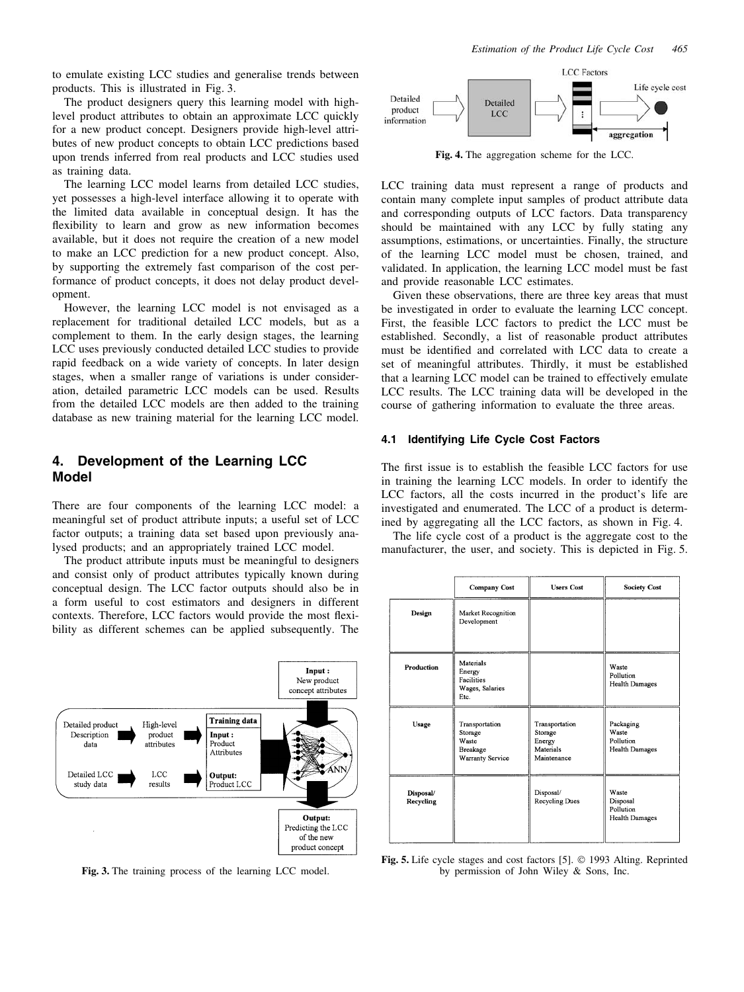to emulate existing LCC studies and generalise trends between products. This is illustrated in Fig. 3.

The product designers query this learning model with highlevel product attributes to obtain an approximate LCC quickly for a new product concept. Designers provide high-level attributes of new product concepts to obtain LCC predictions based upon trends inferred from real products and LCC studies used as training data.

The learning LCC model learns from detailed LCC studies, yet possesses a high-level interface allowing it to operate with the limited data available in conceptual design. It has the flexibility to learn and grow as new information becomes available, but it does not require the creation of a new model to make an LCC prediction for a new product concept. Also, by supporting the extremely fast comparison of the cost performance of product concepts, it does not delay product development.

However, the learning LCC model is not envisaged as a replacement for traditional detailed LCC models, but as a complement to them. In the early design stages, the learning LCC uses previously conducted detailed LCC studies to provide rapid feedback on a wide variety of concepts. In later design stages, when a smaller range of variations is under consideration, detailed parametric LCC models can be used. Results from the detailed LCC models are then added to the training database as new training material for the learning LCC model.

# **4. Development of the Learning LCC Model**

There are four components of the learning LCC model: a meaningful set of product attribute inputs; a useful set of LCC factor outputs; a training data set based upon previously analysed products; and an appropriately trained LCC model.

The product attribute inputs must be meaningful to designers and consist only of product attributes typically known during conceptual design. The LCC factor outputs should also be in a form useful to cost estimators and designers in different contexts. Therefore, LCC factors would provide the most flexibility as different schemes can be applied subsequently. The



**Fig. 3.** The training process of the learning LCC model.



**Fig. 4.** The aggregation scheme for the LCC.

LCC training data must represent a range of products and contain many complete input samples of product attribute data and corresponding outputs of LCC factors. Data transparency should be maintained with any LCC by fully stating any assumptions, estimations, or uncertainties. Finally, the structure of the learning LCC model must be chosen, trained, and validated. In application, the learning LCC model must be fast and provide reasonable LCC estimates.

Given these observations, there are three key areas that must be investigated in order to evaluate the learning LCC concept. First, the feasible LCC factors to predict the LCC must be established. Secondly, a list of reasonable product attributes must be identified and correlated with LCC data to create a set of meaningful attributes. Thirdly, it must be established that a learning LCC model can be trained to effectively emulate LCC results. The LCC training data will be developed in the course of gathering information to evaluate the three areas.

### **4.1 Identifying Life Cycle Cost Factors**

The first issue is to establish the feasible LCC factors for use in training the learning LCC models. In order to identify the LCC factors, all the costs incurred in the product's life are investigated and enumerated. The LCC of a product is determined by aggregating all the LCC factors, as shown in Fig. 4.

The life cycle cost of a product is the aggregate cost to the manufacturer, the user, and society. This is depicted in Fig. 5.

|                        | <b>Company Cost</b>                                                 | <b>Users Cost</b>                                               | <b>Society Cost</b>                               |
|------------------------|---------------------------------------------------------------------|-----------------------------------------------------------------|---------------------------------------------------|
| Design                 | Market Recognition<br>Development                                   |                                                                 |                                                   |
| <b>Production</b>      | Materials<br>Energy<br><b>Facilities</b><br>Wages, Salaries<br>Etc. |                                                                 | Waste<br>Pollution<br>Health Damages              |
| Usage                  | Transportation<br>Storage<br>Waste<br>Breakage<br>Warranty Service  | Transportation<br>Storage<br>Energy<br>Materials<br>Maintenance | Packaging<br>Waste<br>Pollution<br>Health Damages |
| Disposal/<br>Recycling |                                                                     | Disposal/<br>Recycling Dues                                     | Waste<br>Disposal<br>Pollution<br>Health Damages  |

**Fig. 5.** Life cycle stages and cost factors [5]. © 1993 Alting. Reprinted by permission of John Wiley & Sons, Inc.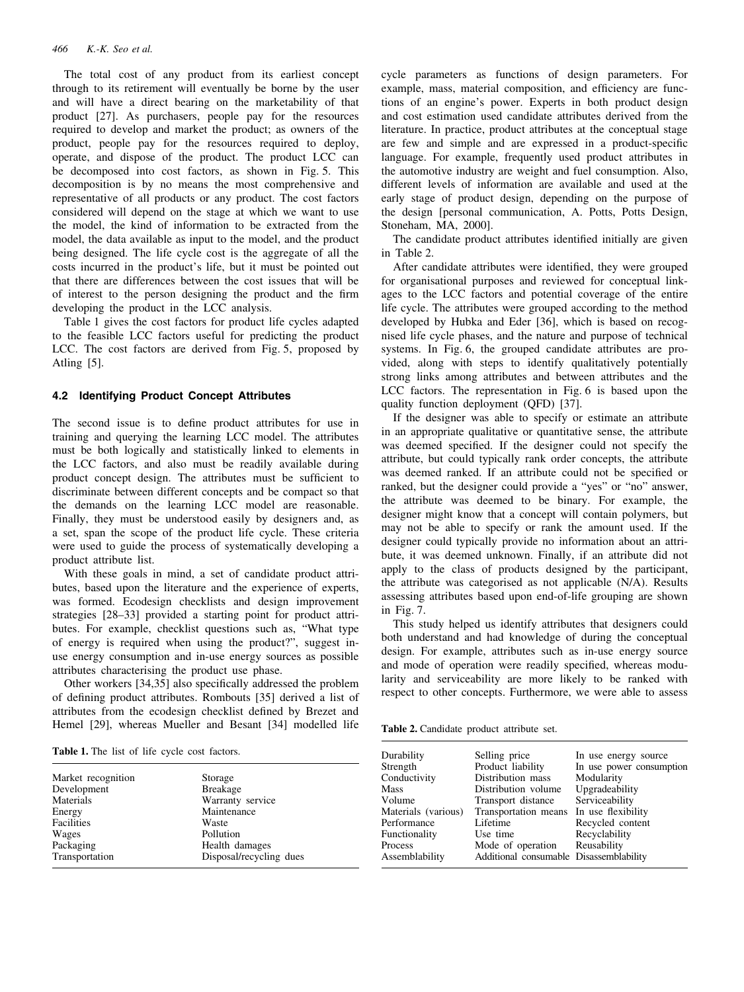The total cost of any product from its earliest concept through to its retirement will eventually be borne by the user and will have a direct bearing on the marketability of that product [27]. As purchasers, people pay for the resources required to develop and market the product; as owners of the product, people pay for the resources required to deploy, operate, and dispose of the product. The product LCC can be decomposed into cost factors, as shown in Fig. 5. This decomposition is by no means the most comprehensive and representative of all products or any product. The cost factors considered will depend on the stage at which we want to use the model, the kind of information to be extracted from the model, the data available as input to the model, and the product being designed. The life cycle cost is the aggregate of all the costs incurred in the product's life, but it must be pointed out that there are differences between the cost issues that will be of interest to the person designing the product and the firm developing the product in the LCC analysis.

Table 1 gives the cost factors for product life cycles adapted to the feasible LCC factors useful for predicting the product LCC. The cost factors are derived from Fig. 5, proposed by Atling [5].

### **4.2 Identifying Product Concept Attributes**

The second issue is to define product attributes for use in training and querying the learning LCC model. The attributes must be both logically and statistically linked to elements in the LCC factors, and also must be readily available during product concept design. The attributes must be sufficient to discriminate between different concepts and be compact so that the demands on the learning LCC model are reasonable. Finally, they must be understood easily by designers and, as a set, span the scope of the product life cycle. These criteria were used to guide the process of systematically developing a product attribute list.

With these goals in mind, a set of candidate product attributes, based upon the literature and the experience of experts, was formed. Ecodesign checklists and design improvement strategies [28–33] provided a starting point for product attributes. For example, checklist questions such as, "What type of energy is required when using the product?", suggest inuse energy consumption and in-use energy sources as possible attributes characterising the product use phase.

Other workers [34,35] also specifically addressed the problem of defining product attributes. Rombouts [35] derived a list of attributes from the ecodesign checklist defined by Brezet and Hemel [29], whereas Mueller and Besant [34] modelled life

| Table 1. The list of life cycle cost factors. |  |  |  |  |  |  |  |
|-----------------------------------------------|--|--|--|--|--|--|--|
|-----------------------------------------------|--|--|--|--|--|--|--|

| Storage                 |
|-------------------------|
| <b>Breakage</b>         |
| Warranty service        |
| Maintenance             |
| Waste                   |
| Pollution               |
| Health damages          |
| Disposal/recycling dues |
|                         |

cycle parameters as functions of design parameters. For example, mass, material composition, and efficiency are functions of an engine's power. Experts in both product design and cost estimation used candidate attributes derived from the literature. In practice, product attributes at the conceptual stage are few and simple and are expressed in a product-specific language. For example, frequently used product attributes in the automotive industry are weight and fuel consumption. Also, different levels of information are available and used at the early stage of product design, depending on the purpose of the design [personal communication, A. Potts, Potts Design, Stoneham, MA, 2000].

The candidate product attributes identified initially are given in Table 2.

After candidate attributes were identified, they were grouped for organisational purposes and reviewed for conceptual linkages to the LCC factors and potential coverage of the entire life cycle. The attributes were grouped according to the method developed by Hubka and Eder [36], which is based on recognised life cycle phases, and the nature and purpose of technical systems. In Fig. 6, the grouped candidate attributes are provided, along with steps to identify qualitatively potentially strong links among attributes and between attributes and the LCC factors. The representation in Fig. 6 is based upon the quality function deployment (QFD) [37].

If the designer was able to specify or estimate an attribute in an appropriate qualitative or quantitative sense, the attribute was deemed specified. If the designer could not specify the attribute, but could typically rank order concepts, the attribute was deemed ranked. If an attribute could not be specified or ranked, but the designer could provide a "yes" or "no" answer, the attribute was deemed to be binary. For example, the designer might know that a concept will contain polymers, but may not be able to specify or rank the amount used. If the designer could typically provide no information about an attribute, it was deemed unknown. Finally, if an attribute did not apply to the class of products designed by the participant, the attribute was categorised as not applicable (N/A). Results assessing attributes based upon end-of-life grouping are shown in Fig. 7.

This study helped us identify attributes that designers could both understand and had knowledge of during the conceptual design. For example, attributes such as in-use energy source and mode of operation were readily specified, whereas modularity and serviceability are more likely to be ranked with respect to other concepts. Furthermore, we were able to assess

**Table 2.** Candidate product attribute set.

| Durability          | Selling price                           | In use energy source     |
|---------------------|-----------------------------------------|--------------------------|
| Strength            | Product liability                       | In use power consumption |
| Conductivity        | Distribution mass                       | Modularity               |
| Mass                | Distribution volume                     | Upgradeability           |
| Volume              | Transport distance                      | Serviceability           |
| Materials (various) | Transportation means                    | In use flexibility       |
| Performance         | Lifetime                                | Recycled content         |
| Functionality       | Use time                                | Recyclability            |
| Process             | Mode of operation                       | Reusability              |
| Assemblability      | Additional consumable Disassemblability |                          |
|                     |                                         |                          |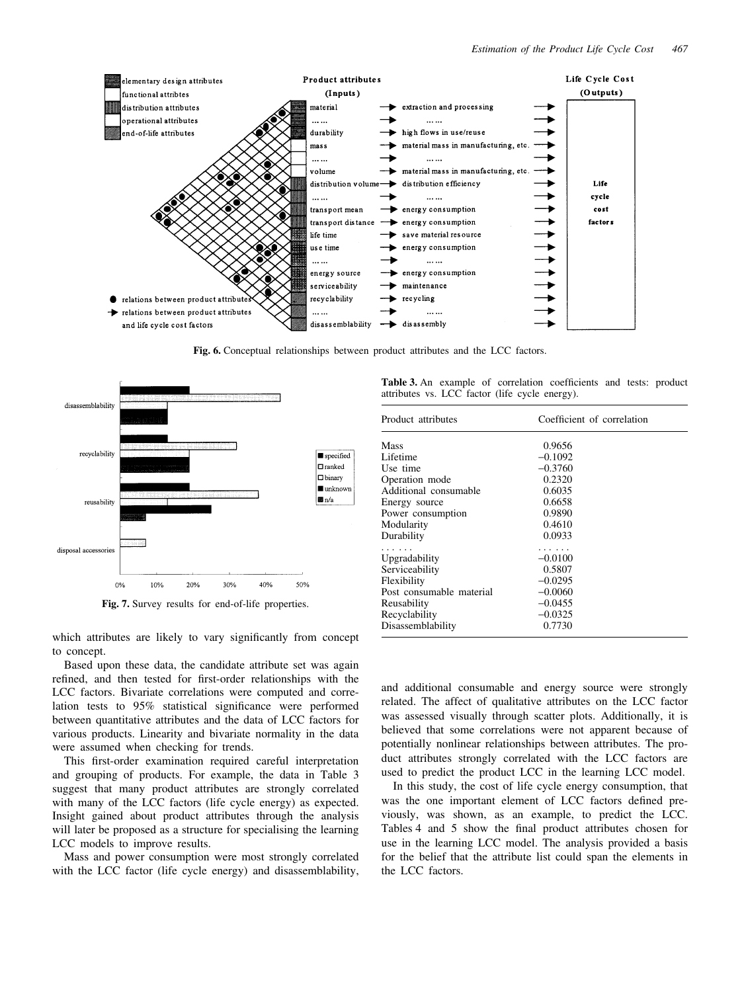

**Fig. 6.** Conceptual relationships between product attributes and the LCC factors.



**Fig. 7.** Survey results for end-of-life properties.

which attributes are likely to vary significantly from concept to concept.

Based upon these data, the candidate attribute set was again refined, and then tested for first-order relationships with the LCC factors. Bivariate correlations were computed and correlation tests to 95% statistical significance were performed between quantitative attributes and the data of LCC factors for various products. Linearity and bivariate normality in the data were assumed when checking for trends.

This first-order examination required careful interpretation and grouping of products. For example, the data in Table 3 suggest that many product attributes are strongly correlated with many of the LCC factors (life cycle energy) as expected. Insight gained about product attributes through the analysis will later be proposed as a structure for specialising the learning LCC models to improve results.

Mass and power consumption were most strongly correlated with the LCC factor (life cycle energy) and disassemblability,

**Table 3.** An example of correlation coefficients and tests: product attributes vs. LCC factor (life cycle energy).

| Product attributes       | Coefficient of correlation |
|--------------------------|----------------------------|
| <b>Mass</b>              | 0.9656                     |
| Lifetime                 | $-0.1092$                  |
| Use time                 | $-0.3760$                  |
| Operation mode           | 0.2320                     |
| Additional consumable    | 0.6035                     |
| Energy source            | 0.6658                     |
| Power consumption        | 0.9890                     |
| Modularity               | 0.4610                     |
| Durability               | 0.0933                     |
| $\cdot$                  | .                          |
| Upgradability            | $-0.0100$                  |
| Serviceability           | 0.5807                     |
| Flexibility              | $-0.0295$                  |
| Post consumable material | $-0.0060$                  |
| Reusability              | $-0.0455$                  |
| Recyclability            | $-0.0325$                  |
| Disassemblability        | 0.7730                     |

and additional consumable and energy source were strongly related. The affect of qualitative attributes on the LCC factor was assessed visually through scatter plots. Additionally, it is believed that some correlations were not apparent because of potentially nonlinear relationships between attributes. The product attributes strongly correlated with the LCC factors are used to predict the product LCC in the learning LCC model.

In this study, the cost of life cycle energy consumption, that was the one important element of LCC factors defined previously, was shown, as an example, to predict the LCC. Tables 4 and 5 show the final product attributes chosen for use in the learning LCC model. The analysis provided a basis for the belief that the attribute list could span the elements in the LCC factors.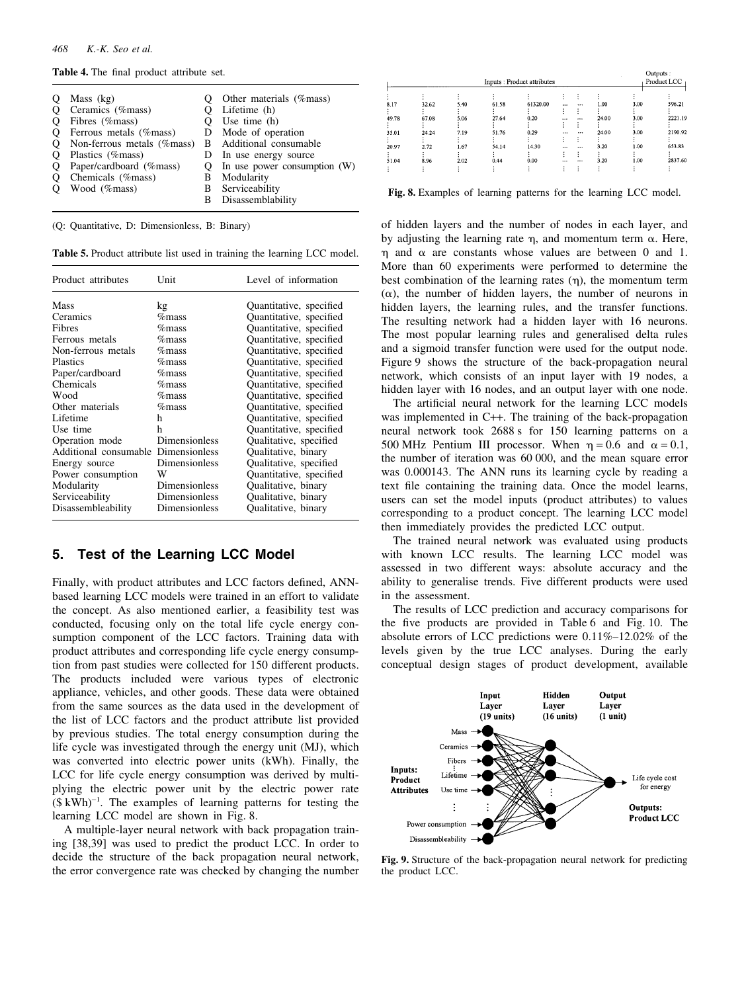**Table 4.** The final product attribute set.

| Non-ferrous metals (%mass) B Additional consumable<br>Plastics (%mass)<br>$\Omega$<br>In use energy source<br>D<br>$Q$ In use power consumption $(W)$<br>Paper/cardboard (%mass)<br>O<br>Chemicals (%mass)<br>Modularity<br>O<br>B<br><b>B</b> Serviceability<br>Wood (%mass) | O<br>O<br>$\Omega$ | Fibres (%mass)<br>Ferrous metals (%mass) | $O$ Use time $(h)$<br>D Mode of operation |  |
|-------------------------------------------------------------------------------------------------------------------------------------------------------------------------------------------------------------------------------------------------------------------------------|--------------------|------------------------------------------|-------------------------------------------|--|
| Disassemblability<br>В                                                                                                                                                                                                                                                        |                    |                                          |                                           |  |

(Q: Quantitative, D: Dimensionless, B: Binary)

**Table 5.** Product attribute list used in training the learning LCC model.

| Product attributes                  | Unit                 | Level of information    |
|-------------------------------------|----------------------|-------------------------|
| <b>Mass</b>                         | kg                   | Quantitative, specified |
| Ceramics                            | $\%$ mass            | Quantitative, specified |
| <b>Fibres</b>                       | $\%$ mass            | Quantitative, specified |
| Ferrous metals                      | $\%$ mass            | Quantitative, specified |
| Non-ferrous metals                  | $\%$ mass            | Quantitative, specified |
| <b>Plastics</b>                     | $\%$ mass            | Quantitative, specified |
| Paper/cardboard                     | <i>%</i> mass        | Quantitative, specified |
| Chemicals                           | $\%$ mass            | Quantitative, specified |
| Wood                                | $\%$ mass            | Quantitative, specified |
| Other materials                     | $\%$ mass            | Quantitative, specified |
| Lifetime                            | h                    | Quantitative, specified |
| Use time                            | h                    | Quantitative, specified |
| Operation mode                      | <b>Dimensionless</b> | Qualitative, specified  |
| Additional consumable Dimensionless |                      | Qualitative, binary     |
| Energy source                       | Dimensionless        | Qualitative, specified  |
| Power consumption                   | W                    | Quantitative, specified |
| Modularity                          | <b>Dimensionless</b> | Qualitative, binary     |
| Serviceability                      | Dimensionless        | Qualitative, binary     |
| Disassembleability                  | Dimensionless        | Qualitative, binary     |

# **5. Test of the Learning LCC Model**

Finally, with product attributes and LCC factors defined, ANNbased learning LCC models were trained in an effort to validate the concept. As also mentioned earlier, a feasibility test was conducted, focusing only on the total life cycle energy consumption component of the LCC factors. Training data with product attributes and corresponding life cycle energy consumption from past studies were collected for 150 different products. The products included were various types of electronic appliance, vehicles, and other goods. These data were obtained from the same sources as the data used in the development of the list of LCC factors and the product attribute list provided by previous studies. The total energy consumption during the life cycle was investigated through the energy unit (MJ), which was converted into electric power units (kWh). Finally, the LCC for life cycle energy consumption was derived by multiplying the electric power unit by the electric power rate (\$ kWh)<sup>−</sup><sup>1</sup> . The examples of learning patterns for testing the learning LCC model are shown in Fig. 8.

A multiple-layer neural network with back propagation training [38,39] was used to predict the product LCC. In order to decide the structure of the back propagation neural network, the error convergence rate was checked by changing the number

|       |       |      |       | Inputs : Product attributes |          |          |       |      | Outputs:<br>Product LCC |
|-------|-------|------|-------|-----------------------------|----------|----------|-------|------|-------------------------|
|       |       |      |       |                             |          | ٠        |       |      |                         |
| 8.17  | 32.62 | 5.40 | 61.58 | 61320.00                    |          | $\cdots$ | 1.00  | 3.00 | 596.21                  |
|       |       |      |       |                             |          |          |       |      |                         |
| 49.78 | 67.08 | 5.06 | 27.64 | 0.20                        | $\cdots$ | $\cdots$ | 24.00 | 3.00 | 2221.19                 |
|       |       |      |       |                             |          |          |       |      |                         |
| 35.01 | 24.24 | 7.19 | 51.76 | 0.29                        | $\cdots$ |          | 24.00 | 3.00 | 2190.92                 |
|       |       |      |       |                             |          |          |       |      |                         |
| 20.97 | 2.72  | 1.67 | 54.14 | 14.30                       |          | $\cdots$ | 3.20  | 1.00 | 653.83                  |
|       |       |      |       |                             |          |          |       |      |                         |
| 51.04 | 8.96  | 2.02 | 0.44  | 0.00                        |          | $\cdots$ | 3.20  | 1.00 | 2837.60                 |
|       |       |      |       |                             |          |          |       |      |                         |

**Fig. 8.** Examples of learning patterns for the learning LCC model.

of hidden layers and the number of nodes in each layer, and by adjusting the learning rate  $\eta$ , and momentum term  $\alpha$ . Here,  $\eta$  and  $\alpha$  are constants whose values are between 0 and 1. More than 60 experiments were performed to determine the best combination of the learning rates  $(\eta)$ , the momentum term  $(\alpha)$ , the number of hidden layers, the number of neurons in hidden layers, the learning rules, and the transfer functions. The resulting network had a hidden layer with 16 neurons. The most popular learning rules and generalised delta rules and a sigmoid transfer function were used for the output node. Figure 9 shows the structure of the back-propagation neural network, which consists of an input layer with 19 nodes, a hidden layer with 16 nodes, and an output layer with one node.

The artificial neural network for the learning LCC models was implemented in C++. The training of the back-propagation neural network took 2688 s for 150 learning patterns on a 500 MHz Pentium III processor. When  $\eta = 0.6$  and  $\alpha = 0.1$ , the number of iteration was 60 000, and the mean square error was 0.000143. The ANN runs its learning cycle by reading a text file containing the training data. Once the model learns, users can set the model inputs (product attributes) to values corresponding to a product concept. The learning LCC model then immediately provides the predicted LCC output.

The trained neural network was evaluated using products with known LCC results. The learning LCC model was assessed in two different ways: absolute accuracy and the ability to generalise trends. Five different products were used in the assessment.

The results of LCC prediction and accuracy comparisons for the five products are provided in Table 6 and Fig. 10. The absolute errors of LCC predictions were 0.11%–12.02% of the levels given by the true LCC analyses. During the early conceptual design stages of product development, available



**Fig. 9.** Structure of the back-propagation neural network for predicting the product LCC.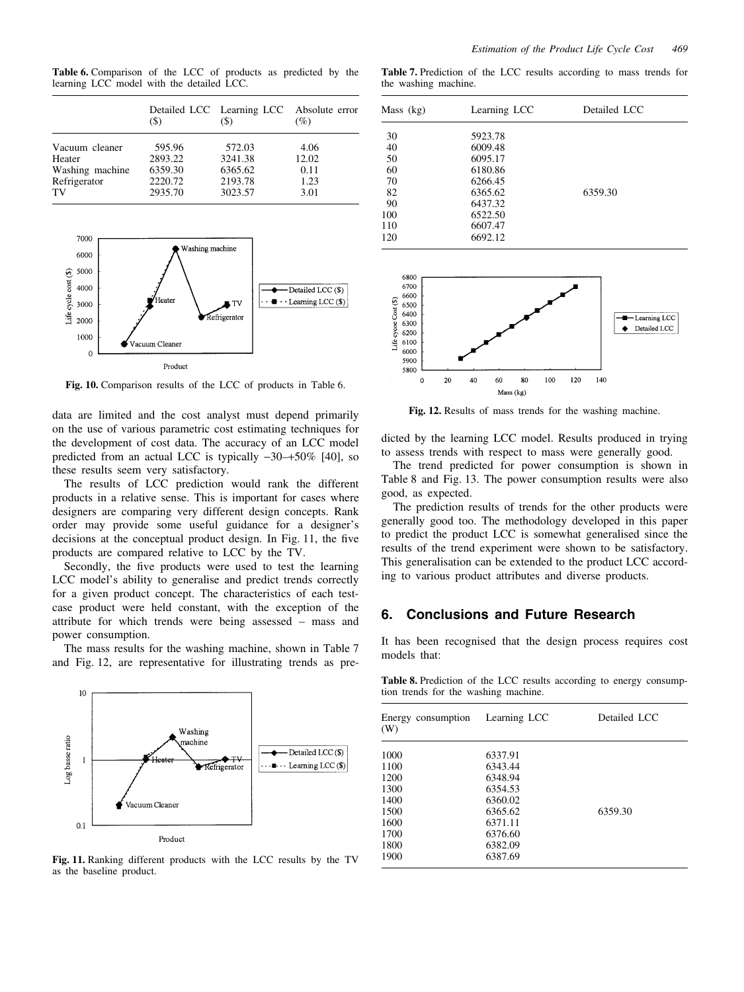**Table 6.** Comparison of the LCC of products as predicted by the learning LCC model with the detailed LCC.

|                 | (S)     | Detailed LCC Learning LCC Absolute error<br>(\$) | (%)   |
|-----------------|---------|--------------------------------------------------|-------|
| Vacuum cleaner  | 595.96  | 572.03                                           | 4.06  |
| Heater          | 2893.22 | 3241.38                                          | 12.02 |
| Washing machine | 6359.30 | 6365.62                                          | 0.11  |
| Refrigerator    | 2220.72 | 2193.78                                          | 1.23  |
| TV              | 2935.70 | 3023.57                                          | 3.01  |



**Fig. 10.** Comparison results of the LCC of products in Table 6.

data are limited and the cost analyst must depend primarily on the use of various parametric cost estimating techniques for the development of cost data. The accuracy of an LCC model predicted from an actual LCC is typically −30–+50% [40], so these results seem very satisfactory.

The results of LCC prediction would rank the different products in a relative sense. This is important for cases where designers are comparing very different design concepts. Rank order may provide some useful guidance for a designer's decisions at the conceptual product design. In Fig. 11, the five products are compared relative to LCC by the TV.

Secondly, the five products were used to test the learning LCC model's ability to generalise and predict trends correctly for a given product concept. The characteristics of each testcase product were held constant, with the exception of the attribute for which trends were being assessed – mass and power consumption.

The mass results for the washing machine, shown in Table 7 and Fig. 12, are representative for illustrating trends as pre-



**Fig. 11.** Ranking different products with the LCC results by the TV as the baseline product.

**Table 7.** Prediction of the LCC results according to mass trends for the washing machine.

| Mass $(kg)$ | Learning LCC | Detailed LCC |
|-------------|--------------|--------------|
| 30          | 5923.78      |              |
| 40          | 6009.48      |              |
| 50          | 6095.17      |              |
| 60          | 6180.86      |              |
| 70          | 6266.45      |              |
| 82          | 6365.62      | 6359.30      |
| 90          | 6437.32      |              |
| 100         | 6522.50      |              |
| 110         | 6607.47      |              |
| 120         | 6692.12      |              |



**Fig. 12.** Results of mass trends for the washing machine.

dicted by the learning LCC model. Results produced in trying to assess trends with respect to mass were generally good.

The trend predicted for power consumption is shown in Table 8 and Fig. 13. The power consumption results were also good, as expected.

The prediction results of trends for the other products were generally good too. The methodology developed in this paper to predict the product LCC is somewhat generalised since the results of the trend experiment were shown to be satisfactory. This generalisation can be extended to the product LCC according to various product attributes and diverse products.

### **6. Conclusions and Future Research**

It has been recognised that the design process requires cost models that:

Table 8. Prediction of the LCC results according to energy consumption trends for the washing machine.

| Detailed LCC<br>Learning LCC |
|------------------------------|
| 6359.30                      |
|                              |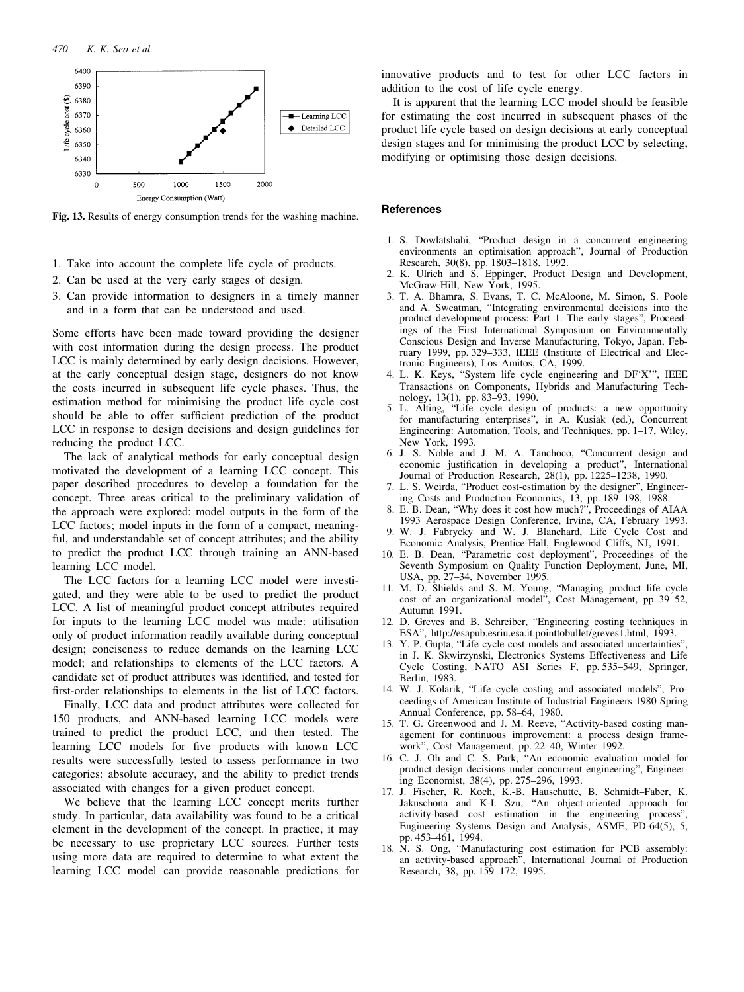

**Fig. 13.** Results of energy consumption trends for the washing machine.

- 1. Take into account the complete life cycle of products.
- 2. Can be used at the very early stages of design.
- 3. Can provide information to designers in a timely manner and in a form that can be understood and used.

Some efforts have been made toward providing the designer with cost information during the design process. The product LCC is mainly determined by early design decisions. However, at the early conceptual design stage, designers do not know the costs incurred in subsequent life cycle phases. Thus, the estimation method for minimising the product life cycle cost should be able to offer sufficient prediction of the product LCC in response to design decisions and design guidelines for reducing the product LCC.

The lack of analytical methods for early conceptual design motivated the development of a learning LCC concept. This paper described procedures to develop a foundation for the concept. Three areas critical to the preliminary validation of the approach were explored: model outputs in the form of the LCC factors; model inputs in the form of a compact, meaningful, and understandable set of concept attributes; and the ability to predict the product LCC through training an ANN-based learning LCC model.

The LCC factors for a learning LCC model were investigated, and they were able to be used to predict the product LCC. A list of meaningful product concept attributes required for inputs to the learning LCC model was made: utilisation only of product information readily available during conceptual design; conciseness to reduce demands on the learning LCC model; and relationships to elements of the LCC factors. A candidate set of product attributes was identified, and tested for first-order relationships to elements in the list of LCC factors.

Finally, LCC data and product attributes were collected for 150 products, and ANN-based learning LCC models were trained to predict the product LCC, and then tested. The learning LCC models for five products with known LCC results were successfully tested to assess performance in two categories: absolute accuracy, and the ability to predict trends associated with changes for a given product concept.

We believe that the learning LCC concept merits further study. In particular, data availability was found to be a critical element in the development of the concept. In practice, it may be necessary to use proprietary LCC sources. Further tests using more data are required to determine to what extent the learning LCC model can provide reasonable predictions for innovative products and to test for other LCC factors in addition to the cost of life cycle energy.

It is apparent that the learning LCC model should be feasible for estimating the cost incurred in subsequent phases of the product life cycle based on design decisions at early conceptual design stages and for minimising the product LCC by selecting, modifying or optimising those design decisions.

#### **References**

- 1. S. Dowlatshahi, "Product design in a concurrent engineering environments an optimisation approach", Journal of Production Research, 30(8), pp. 1803–1818, 1992.
- 2. K. Ulrich and S. Eppinger, Product Design and Development, McGraw-Hill, New York, 1995.
- 3. T. A. Bhamra, S. Evans, T. C. McAloone, M. Simon, S. Poole and A. Sweatman, "Integrating environmental decisions into the product development process: Part 1. The early stages", Proceedings of the First International Symposium on Environmentally Conscious Design and Inverse Manufacturing, Tokyo, Japan, February 1999, pp. 329–333, IEEE (Institute of Electrical and Electronic Engineers), Los Amitos, CA, 1999.
- 4. L. K. Keys, "System life cycle engineering and DF'X'", IEEE Transactions on Components, Hybrids and Manufacturing Technology, 13(1), pp. 83–93, 1990.
- 5. L. Alting, "Life cycle design of products: a new opportunity for manufacturing enterprises", in A. Kusiak (ed.), Concurrent Engineering: Automation, Tools, and Techniques, pp. 1–17, Wiley, New York, 1993.
- 6. J. S. Noble and J. M. A. Tanchoco, "Concurrent design and economic justification in developing a product", International Journal of Production Research, 28(1), pp. 1225–1238, 1990.
- 7. L. S. Weirda, "Product cost-estimation by the designer", Engineering Costs and Production Economics, 13, pp. 189–198, 1988.
- 8. E. B. Dean, "Why does it cost how much?", Proceedings of AIAA 1993 Aerospace Design Conference, Irvine, CA, February 1993.
- 9. W. J. Fabrycky and W. J. Blanchard, Life Cycle Cost and Economic Analysis, Prentice-Hall, Englewood Cliffs, NJ, 1991.
- 10. E. B. Dean, "Parametric cost deployment", Proceedings of the Seventh Symposium on Quality Function Deployment, June, MI, USA, pp. 27–34, November 1995.
- 11. M. D. Shields and S. M. Young, "Managing product life cycle cost of an organizational model", Cost Management, pp. 39–52, Autumn 1991.
- 12. D. Greves and B. Schreiber, "Engineering costing techniques in ESA", http://esapub.esriu.esa.it.pointtobullet/greves1.html, 1993.
- 13. Y. P. Gupta, "Life cycle cost models and associated uncertainties", in J. K. Skwirzynski, Electronics Systems Effectiveness and Life Cycle Costing, NATO ASI Series F, pp. 535–549, Springer, Berlin, 1983.
- 14. W. J. Kolarik, "Life cycle costing and associated models", Proceedings of American Institute of Industrial Engineers 1980 Spring Annual Conference, pp. 58–64, 1980.
- 15. T. G. Greenwood and J. M. Reeve, "Activity-based costing management for continuous improvement: a process design framework", Cost Management, pp. 22–40, Winter 1992.
- 16. C. J. Oh and C. S. Park, "An economic evaluation model for product design decisions under concurrent engineering", Engineering Economist, 38(4), pp. 275–296, 1993.
- 17. J. Fischer, R. Koch, K.-B. Hauschutte, B. Schmidt–Faber, K. Jakuschona and K-I. Szu, "An object-oriented approach for activity-based cost estimation in the engineering process", Engineering Systems Design and Analysis, ASME, PD-64(5), 5, pp. 453–461, 1994.
- 18. N. S. Ong, "Manufacturing cost estimation for PCB assembly: an activity-based approach", International Journal of Production Research, 38, pp. 159–172, 1995.